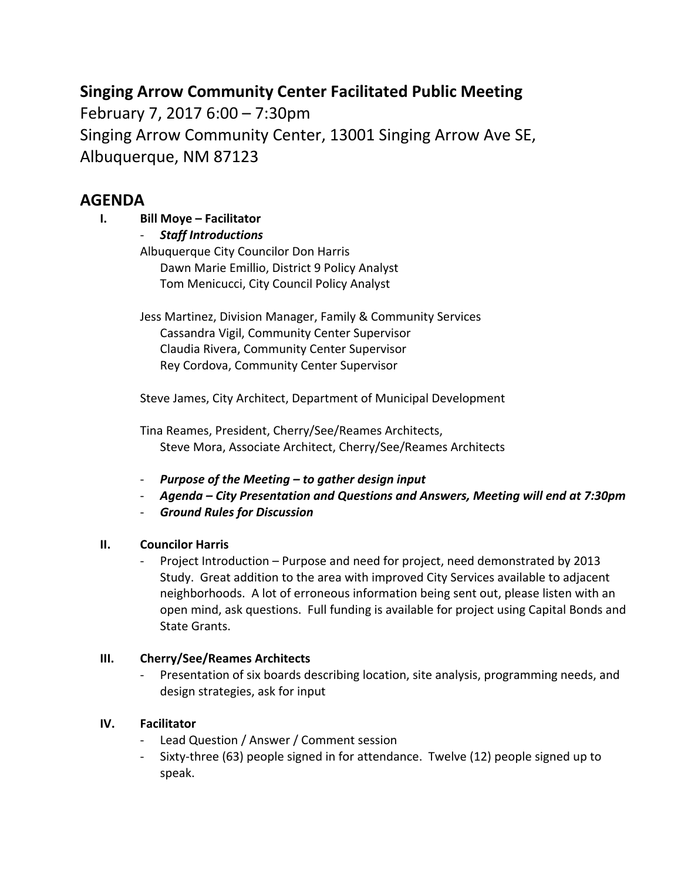# **Singing Arrow Community Center Facilitated Public Meeting**

February 7, 2017 6:00 – 7:30pm Singing Arrow Community Center, 13001 Singing Arrow Ave SE, Albuquerque, NM 87123

## **AGENDA**

**I. Bill Moye – Facilitator**

‐ *Staff Introductions* Albuquerque City Councilor Don Harris Dawn Marie Emillio, District 9 Policy Analyst Tom Menicucci, City Council Policy Analyst

Jess Martinez, Division Manager, Family & Community Services Cassandra Vigil, Community Center Supervisor Claudia Rivera, Community Center Supervisor Rey Cordova, Community Center Supervisor

Steve James, City Architect, Department of Municipal Development

Tina Reames, President, Cherry/See/Reames Architects, Steve Mora, Associate Architect, Cherry/See/Reames Architects

- ‐ *Purpose of the Meeting – to gather design input*
- ‐ *Agenda – City Presentation and Questions and Answers, Meeting will end at 7:30pm*
- ‐ *Ground Rules for Discussion*

## **II. Councilor Harris**

‐ Project Introduction – Purpose and need for project, need demonstrated by 2013 Study. Great addition to the area with improved City Services available to adjacent neighborhoods. A lot of erroneous information being sent out, please listen with an open mind, ask questions. Full funding is available for project using Capital Bonds and State Grants.

## **III. Cherry/See/Reames Architects**

‐ Presentation of six boards describing location, site analysis, programming needs, and design strategies, ask for input

## **IV. Facilitator**

- ‐ Lead Question / Answer / Comment session
- ‐ Sixty‐three (63) people signed in for attendance. Twelve (12) people signed up to speak.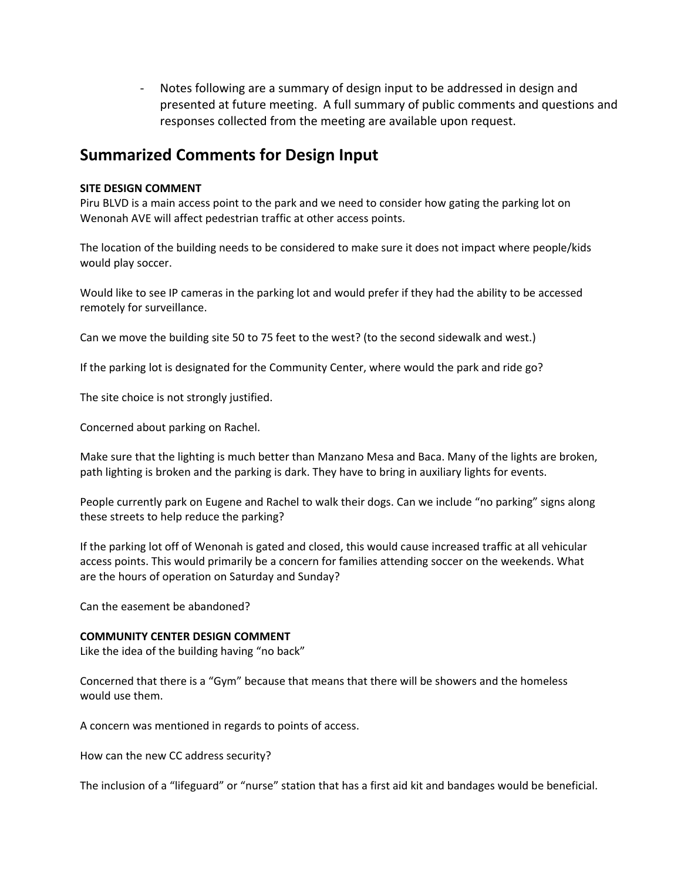‐ Notes following are a summary of design input to be addressed in design and presented at future meeting. A full summary of public comments and questions and responses collected from the meeting are available upon request.

# **Summarized Comments for Design Input**

### **SITE DESIGN COMMENT**

Piru BLVD is a main access point to the park and we need to consider how gating the parking lot on Wenonah AVE will affect pedestrian traffic at other access points.

The location of the building needs to be considered to make sure it does not impact where people/kids would play soccer.

Would like to see IP cameras in the parking lot and would prefer if they had the ability to be accessed remotely for surveillance.

Can we move the building site 50 to 75 feet to the west? (to the second sidewalk and west.)

If the parking lot is designated for the Community Center, where would the park and ride go?

The site choice is not strongly justified.

Concerned about parking on Rachel.

Make sure that the lighting is much better than Manzano Mesa and Baca. Many of the lights are broken, path lighting is broken and the parking is dark. They have to bring in auxiliary lights for events.

People currently park on Eugene and Rachel to walk their dogs. Can we include "no parking" signs along these streets to help reduce the parking?

If the parking lot off of Wenonah is gated and closed, this would cause increased traffic at all vehicular access points. This would primarily be a concern for families attending soccer on the weekends. What are the hours of operation on Saturday and Sunday?

Can the easement be abandoned?

### **COMMUNITY CENTER DESIGN COMMENT**

Like the idea of the building having "no back"

Concerned that there is a "Gym" because that means that there will be showers and the homeless would use them.

A concern was mentioned in regards to points of access.

How can the new CC address security?

The inclusion of a "lifeguard" or "nurse" station that has a first aid kit and bandages would be beneficial.